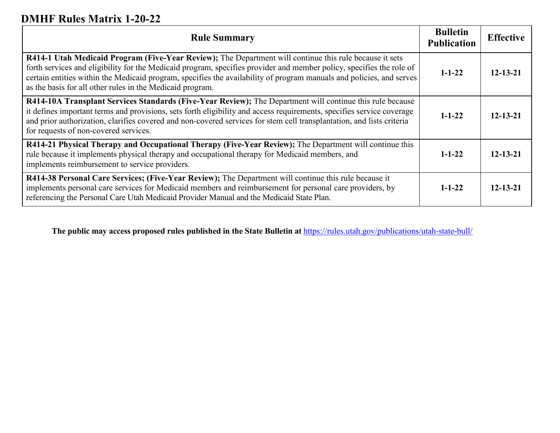# **DMHF Rules Matrix 1-20-22**

| <b>Rule Summary</b>                                                                                                                                                                                                                                                                                                                                                                                                  | <b>Bulletin</b><br><b>Publication</b> | <b>Effective</b> |
|----------------------------------------------------------------------------------------------------------------------------------------------------------------------------------------------------------------------------------------------------------------------------------------------------------------------------------------------------------------------------------------------------------------------|---------------------------------------|------------------|
| R414-1 Utah Medicaid Program (Five-Year Review); The Department will continue this rule because it sets<br>forth services and eligibility for the Medicaid program, specifies provider and member policy, specifies the role of<br>certain entities within the Medicaid program, specifies the availability of program manuals and policies, and serves<br>as the basis for all other rules in the Medicaid program. | $1 - 1 - 22$                          | $12 - 13 - 21$   |
| R414-10A Transplant Services Standards (Five-Year Review); The Department will continue this rule because<br>it defines important terms and provisions, sets forth eligibility and access requirements, specifies service coverage<br>and prior authorization, clarifies covered and non-covered services for stem cell transplantation, and lists criteria<br>for requests of non-covered services.                 | $1 - 1 - 22$                          | $12 - 13 - 21$   |
| R414-21 Physical Therapy and Occupational Therapy (Five-Year Review); The Department will continue this<br>rule because it implements physical therapy and occupational therapy for Medicaid members, and<br>implements reimbursement to service providers.                                                                                                                                                          | $1 - 1 - 22$                          | $12 - 13 - 21$   |
| R414-38 Personal Care Services; (Five-Year Review); The Department will continue this rule because it<br>implements personal care services for Medicaid members and reimbursement for personal care providers, by<br>referencing the Personal Care Utah Medicaid Provider Manual and the Medicaid State Plan.                                                                                                        | $1 - 1 - 22$                          | $12 - 13 - 21$   |

**The public may access proposed rules published in the State Bulletin at** <https://rules.utah.gov/publications/utah-state-bull/>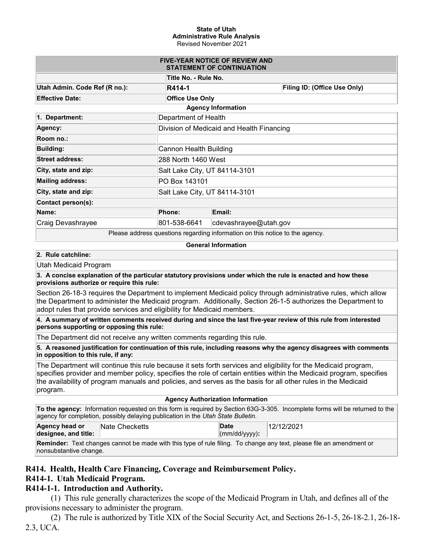#### **State of Utah Administrative Rule Analysis** Revised November 2021

| <b>FIVE-YEAR NOTICE OF REVIEW AND</b><br><b>STATEMENT OF CONTINUATION</b>         |                                           |                       |                              |  |  |  |
|-----------------------------------------------------------------------------------|-------------------------------------------|-----------------------|------------------------------|--|--|--|
| Title No. - Rule No.                                                              |                                           |                       |                              |  |  |  |
| Utah Admin. Code Ref (R no.):                                                     | R414-1                                    |                       | Filing ID: (Office Use Only) |  |  |  |
| <b>Effective Date:</b>                                                            | <b>Office Use Only</b>                    |                       |                              |  |  |  |
|                                                                                   | <b>Agency Information</b>                 |                       |                              |  |  |  |
| 1. Department:                                                                    | Department of Health                      |                       |                              |  |  |  |
| Agency:                                                                           | Division of Medicaid and Health Financing |                       |                              |  |  |  |
| Room no.:                                                                         |                                           |                       |                              |  |  |  |
| <b>Building:</b>                                                                  | Cannon Health Building                    |                       |                              |  |  |  |
| <b>Street address:</b>                                                            | 288 North 1460 West                       |                       |                              |  |  |  |
| City, state and zip:                                                              | Salt Lake City, UT 84114-3101             |                       |                              |  |  |  |
| <b>Mailing address:</b>                                                           | PO Box 143101                             |                       |                              |  |  |  |
| City, state and zip:                                                              | Salt Lake City, UT 84114-3101             |                       |                              |  |  |  |
| Contact person(s):                                                                |                                           |                       |                              |  |  |  |
| Name:                                                                             | Phone:                                    | Email:                |                              |  |  |  |
| Craig Devashrayee                                                                 | 801-538-6641                              | cdevashrayee@utah.gov |                              |  |  |  |
| Dissas salduses purentiana personaling information on this patien to the sense of |                                           |                       |                              |  |  |  |

Please address questions regarding information on this notice to the agency.

#### **General Information**

#### **2. Rule catchline:**

Utah Medicaid Program

**3. A concise explanation of the particular statutory provisions under which the rule is enacted and how these provisions authorize or require this rule:**

Section 26-18-3 requires the Department to implement Medicaid policy through administrative rules, which allow the Department to administer the Medicaid program. Additionally, Section 26-1-5 authorizes the Department to adopt rules that provide services and eligibility for Medicaid members.

**4. A summary of written comments received during and since the last five-year review of this rule from interested persons supporting or opposing this rule:**

The Department did not receive any written comments regarding this rule.

**5. A reasoned justification for continuation of this rule, including reasons why the agency disagrees with comments in opposition to this rule, if any:**

The Department will continue this rule because it sets forth services and eligibility for the Medicaid program, specifies provider and member policy, specifies the role of certain entities within the Medicaid program, specifies the availability of program manuals and policies, and serves as the basis for all other rules in the Medicaid program.

#### **Agency Authorization Information**

**To the agency:** Information requested on this form is required by Section 63G-3-305. Incomplete forms will be returned to the agency for completion, possibly delaying publication in the *Utah State Bulletin*.

| Agency head or       | <b>Nate Checketts</b> |  | Date                  |  | 12/12/2021 |  |  |
|----------------------|-----------------------|--|-----------------------|--|------------|--|--|
| designee, and title: |                       |  | $\vert$ (mm/dd/yyyy): |  |            |  |  |
| .                    |                       |  |                       |  |            |  |  |

**Reminder:** Text changes cannot be made with this type of rule filing. To change any text, please file an amendment or nonsubstantive change.

### **R414. Health, Health Care Financing, Coverage and Reimbursement Policy.**

### **R414-1. Utah Medicaid Program.**

### **R414-1-1. Introduction and Authority.**

(1) This rule generally characterizes the scope of the Medicaid Program in Utah, and defines all of the provisions necessary to administer the program.

(2) The rule is authorized by Title XIX of the Social Security Act, and Sections 26-1-5, 26-18-2.1, 26-18- 2.3, UCA.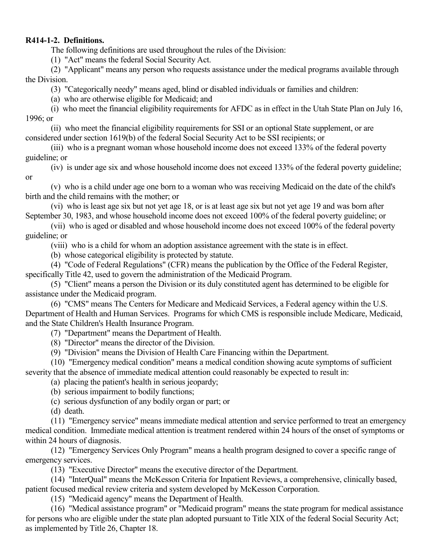### **R414-1-2. Definitions.**

The following definitions are used throughout the rules of the Division:

(1) "Act" means the federal Social Security Act.

(2) "Applicant" means any person who requests assistance under the medical programs available through the Division.

(3) "Categorically needy" means aged, blind or disabled individuals or families and children:

(a) who are otherwise eligible for Medicaid; and

(i) who meet the financial eligibility requirements for AFDC as in effect in the Utah State Plan on July 16, 1996; or

(ii) who meet the financial eligibility requirements for SSI or an optional State supplement, or are considered under section 1619(b) of the federal Social Security Act to be SSI recipients; or

(iii) who is a pregnant woman whose household income does not exceed 133% of the federal poverty guideline; or

(iv) is under age six and whose household income does not exceed 133% of the federal poverty guideline; or

(v) who is a child under age one born to a woman who was receiving Medicaid on the date of the child's birth and the child remains with the mother; or

(vi) who is least age six but not yet age 18, or is at least age six but not yet age 19 and was born after September 30, 1983, and whose household income does not exceed 100% of the federal poverty guideline; or

(vii) who is aged or disabled and whose household income does not exceed 100% of the federal poverty guideline; or

(viii) who is a child for whom an adoption assistance agreement with the state is in effect.

(b) whose categorical eligibility is protected by statute.

(4) "Code of Federal Regulations" (CFR) means the publication by the Office of the Federal Register, specifically Title 42, used to govern the administration of the Medicaid Program.

(5) "Client" means a person the Division or its duly constituted agent has determined to be eligible for assistance under the Medicaid program.

(6) "CMS" means The Centers for Medicare and Medicaid Services, a Federal agency within the U.S. Department of Health and Human Services. Programs for which CMS is responsible include Medicare, Medicaid, and the State Children's Health Insurance Program.

(7) "Department" means the Department of Health.

(8) "Director" means the director of the Division.

(9) "Division" means the Division of Health Care Financing within the Department.

(10) "Emergency medical condition" means a medical condition showing acute symptoms of sufficient severity that the absence of immediate medical attention could reasonably be expected to result in:

(a) placing the patient's health in serious jeopardy;

(b) serious impairment to bodily functions;

(c) serious dysfunction of any bodily organ or part; or

(d) death.

(11) "Emergency service" means immediate medical attention and service performed to treat an emergency medical condition. Immediate medical attention is treatment rendered within 24 hours of the onset of symptoms or within 24 hours of diagnosis.

(12) "Emergency Services Only Program" means a health program designed to cover a specific range of emergency services.

(13) "Executive Director" means the executive director of the Department.

(14) "InterQual" means the McKesson Criteria for Inpatient Reviews, a comprehensive, clinically based, patient focused medical review criteria and system developed by McKesson Corporation.

(15) "Medicaid agency" means the Department of Health.

(16) "Medical assistance program" or "Medicaid program" means the state program for medical assistance for persons who are eligible under the state plan adopted pursuant to Title XIX of the federal Social Security Act; as implemented by Title 26, Chapter 18.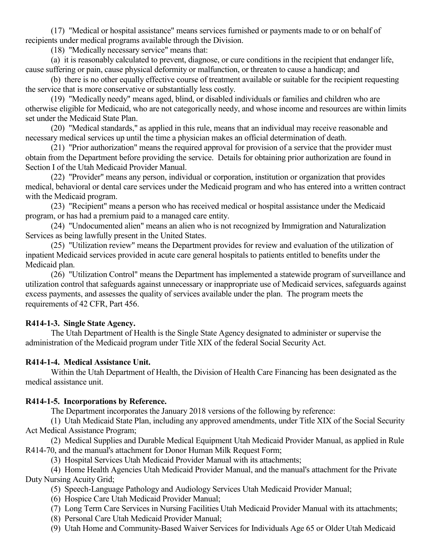(17) "Medical or hospital assistance" means services furnished or payments made to or on behalf of recipients under medical programs available through the Division.

(18) "Medically necessary service" means that:

(a) it is reasonably calculated to prevent, diagnose, or cure conditions in the recipient that endanger life, cause suffering or pain, cause physical deformity or malfunction, or threaten to cause a handicap; and

(b) there is no other equally effective course of treatment available or suitable for the recipient requesting the service that is more conservative or substantially less costly.

(19) "Medically needy" means aged, blind, or disabled individuals or families and children who are otherwise eligible for Medicaid, who are not categorically needy, and whose income and resources are within limits set under the Medicaid State Plan.

(20) "Medical standards," as applied in this rule, means that an individual may receive reasonable and necessary medical services up until the time a physician makes an official determination of death.

(21) "Prior authorization" means the required approval for provision of a service that the provider must obtain from the Department before providing the service. Details for obtaining prior authorization are found in Section I of the Utah Medicaid Provider Manual.

(22) "Provider" means any person, individual or corporation, institution or organization that provides medical, behavioral or dental care services under the Medicaid program and who has entered into a written contract with the Medicaid program.

(23) "Recipient" means a person who has received medical or hospital assistance under the Medicaid program, or has had a premium paid to a managed care entity.

(24) "Undocumented alien" means an alien who is not recognized by Immigration and Naturalization Services as being lawfully present in the United States.

(25) "Utilization review" means the Department provides for review and evaluation of the utilization of inpatient Medicaid services provided in acute care general hospitals to patients entitled to benefits under the Medicaid plan.

(26) "Utilization Control" means the Department has implemented a statewide program of surveillance and utilization control that safeguards against unnecessary or inappropriate use of Medicaid services, safeguards against excess payments, and assesses the quality of services available under the plan. The program meets the requirements of 42 CFR, Part 456.

## **R414-1-3. Single State Agency.**

The Utah Department of Health is the Single State Agency designated to administer or supervise the administration of the Medicaid program under Title XIX of the federal Social Security Act.

## **R414-1-4. Medical Assistance Unit.**

Within the Utah Department of Health, the Division of Health Care Financing has been designated as the medical assistance unit.

## **R414-1-5. Incorporations by Reference.**

The Department incorporates the January 2018 versions of the following by reference:

(1) Utah Medicaid State Plan, including any approved amendments, under Title XIX of the Social Security Act Medical Assistance Program;

(2) Medical Supplies and Durable Medical Equipment Utah Medicaid Provider Manual, as applied in Rule R414-70, and the manual's attachment for Donor Human Milk Request Form;

(3) Hospital Services Utah Medicaid Provider Manual with its attachments;

(4) Home Health Agencies Utah Medicaid Provider Manual, and the manual's attachment for the Private Duty Nursing Acuity Grid;

- (5) Speech-Language Pathology and Audiology Services Utah Medicaid Provider Manual;
- (6) Hospice Care Utah Medicaid Provider Manual;
- (7) Long Term Care Services in Nursing Facilities Utah Medicaid Provider Manual with its attachments;
- (8) Personal Care Utah Medicaid Provider Manual;
- (9) Utah Home and Community-Based Waiver Services for Individuals Age 65 or Older Utah Medicaid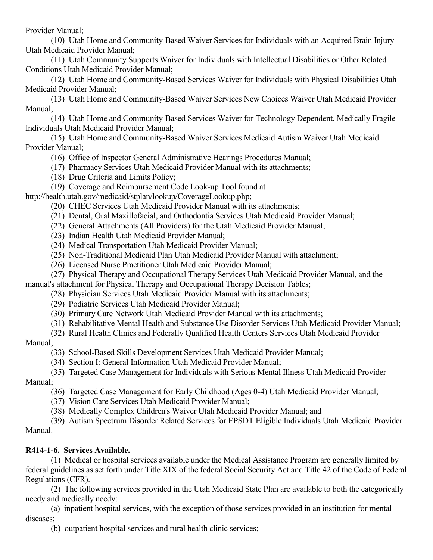Provider Manual;

(10) Utah Home and Community-Based Waiver Services for Individuals with an Acquired Brain Injury Utah Medicaid Provider Manual;

(11) Utah Community Supports Waiver for Individuals with Intellectual Disabilities or Other Related Conditions Utah Medicaid Provider Manual;

(12) Utah Home and Community-Based Services Waiver for Individuals with Physical Disabilities Utah Medicaid Provider Manual;

(13) Utah Home and Community-Based Waiver Services New Choices Waiver Utah Medicaid Provider Manual;

(14) Utah Home and Community-Based Services Waiver for Technology Dependent, Medically Fragile Individuals Utah Medicaid Provider Manual;

(15) Utah Home and Community-Based Waiver Services Medicaid Autism Waiver Utah Medicaid Provider Manual;

- (16) Office of Inspector General Administrative Hearings Procedures Manual;
- (17) Pharmacy Services Utah Medicaid Provider Manual with its attachments;
- (18) Drug Criteria and Limits Policy;
- (19) Coverage and Reimbursement Code Look-up Tool found at

http://health.utah.gov/medicaid/stplan/lookup/CoverageLookup.php;

- (20) CHEC Services Utah Medicaid Provider Manual with its attachments;
- (21) Dental, Oral Maxillofacial, and Orthodontia Services Utah Medicaid Provider Manual;
- (22) General Attachments (All Providers) for the Utah Medicaid Provider Manual;
- (23) Indian Health Utah Medicaid Provider Manual;
- (24) Medical Transportation Utah Medicaid Provider Manual;
- (25) Non-Traditional Medicaid Plan Utah Medicaid Provider Manual with attachment;
- (26) Licensed Nurse Practitioner Utah Medicaid Provider Manual;
- (27) Physical Therapy and Occupational Therapy Services Utah Medicaid Provider Manual, and the manual's attachment for Physical Therapy and Occupational Therapy Decision Tables;
	- (28) Physician Services Utah Medicaid Provider Manual with its attachments;
		- (29) Podiatric Services Utah Medicaid Provider Manual;
		- (30) Primary Care Network Utah Medicaid Provider Manual with its attachments;
		- (31) Rehabilitative Mental Health and Substance Use Disorder Services Utah Medicaid Provider Manual;
		- (32) Rural Health Clinics and Federally Qualified Health Centers Services Utah Medicaid Provider

## Manual;

- (33) School-Based Skills Development Services Utah Medicaid Provider Manual;
- (34) Section I: General Information Utah Medicaid Provider Manual;

(35) Targeted Case Management for Individuals with Serious Mental Illness Utah Medicaid Provider

Manual;

- (36) Targeted Case Management for Early Childhood (Ages 0-4) Utah Medicaid Provider Manual;
- (37) Vision Care Services Utah Medicaid Provider Manual;
- (38) Medically Complex Children's Waiver Utah Medicaid Provider Manual; and

(39) Autism Spectrum Disorder Related Services for EPSDT Eligible Individuals Utah Medicaid Provider Manual.

## **R414-1-6. Services Available.**

(1) Medical or hospital services available under the Medical Assistance Program are generally limited by federal guidelines as set forth under Title XIX of the federal Social Security Act and Title 42 of the Code of Federal Regulations (CFR).

(2) The following services provided in the Utah Medicaid State Plan are available to both the categorically needy and medically needy:

(a) inpatient hospital services, with the exception of those services provided in an institution for mental diseases;

(b) outpatient hospital services and rural health clinic services;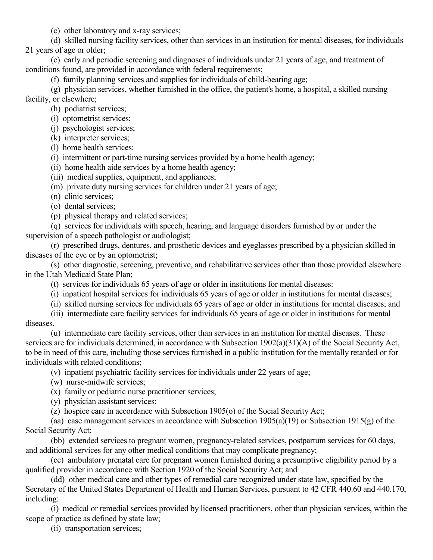(c) other laboratory and x-ray services;

(d) skilled nursing facility services, other than services in an institution for mental diseases, for individuals 21 years of age or older;

(e) early and periodic screening and diagnoses of individuals under 21 years of age, and treatment of conditions found, are provided in accordance with federal requirements;

(f) family planning services and supplies for individuals of child-bearing age;

(g) physician services, whether furnished in the office, the patient's home, a hospital, a skilled nursing facility, or elsewhere;

(h) podiatrist services;

- (i) optometrist services;
- (j) psychologist services;
- (k) interpreter services;
- (l) home health services:
- (i) intermittent or part-time nursing services provided by a home health agency;
- (ii) home health aide services by a home health agency;
- (iii) medical supplies, equipment, and appliances;
- (m) private duty nursing services for children under 21 years of age;
- (n) clinic services;
- (o) dental services;
- (p) physical therapy and related services;

(q) services for individuals with speech, hearing, and language disorders furnished by or under the supervision of a speech pathologist or audiologist;

(r) prescribed drugs, dentures, and prosthetic devices and eyeglasses prescribed by a physician skilled in diseases of the eye or by an optometrist;

(s) other diagnostic, screening, preventive, and rehabilitative services other than those provided elsewhere in the Utah Medicaid State Plan;

- (t) services for individuals 65 years of age or older in institutions for mental diseases:
- (i) inpatient hospital services for individuals 65 years of age or older in institutions for mental diseases;
- (ii) skilled nursing services for individuals 65 years of age or older in institutions for mental diseases; and

(iii) intermediate care facility services for individuals 65 years of age or older in institutions for mental diseases.

(u) intermediate care facility services, other than services in an institution for mental diseases. These services are for individuals determined, in accordance with Subsection 1902(a)(31)(A) of the Social Security Act, to be in need of this care, including those services furnished in a public institution for the mentally retarded or for individuals with related conditions;

(v) inpatient psychiatric facility services for individuals under 22 years of age;

- (w) nurse-midwife services;
- (x) family or pediatric nurse practitioner services;
- (y) physician assistant services;

(z) hospice care in accordance with Subsection 1905(o) of the Social Security Act;

(aa) case management services in accordance with Subsection 1905(a)(19) or Subsection 1915(g) of the Social Security Act;

(bb) extended services to pregnant women, pregnancy-related services, postpartum services for 60 days, and additional services for any other medical conditions that may complicate pregnancy;

(cc) ambulatory prenatal care for pregnant women furnished during a presumptive eligibility period by a qualified provider in accordance with Section 1920 of the Social Security Act; and

(dd) other medical care and other types of remedial care recognized under state law, specified by the Secretary of the United States Department of Health and Human Services, pursuant to 42 CFR 440.60 and 440.170, including:

(i) medical or remedial services provided by licensed practitioners, other than physician services, within the scope of practice as defined by state law;

(ii) transportation services;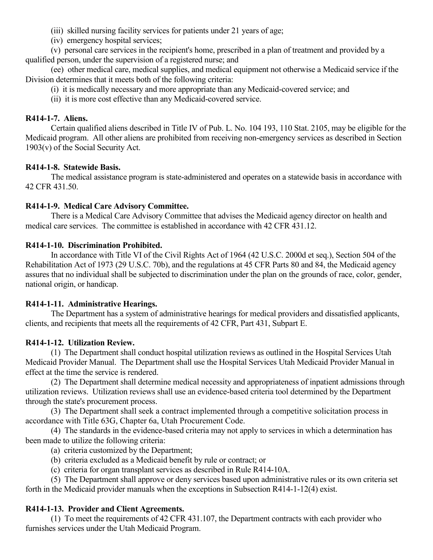- (iii) skilled nursing facility services for patients under 21 years of age;
- (iv) emergency hospital services;

(v) personal care services in the recipient's home, prescribed in a plan of treatment and provided by a qualified person, under the supervision of a registered nurse; and

(ee) other medical care, medical supplies, and medical equipment not otherwise a Medicaid service if the Division determines that it meets both of the following criteria:

- (i) it is medically necessary and more appropriate than any Medicaid-covered service; and
- (ii) it is more cost effective than any Medicaid-covered service.

### **R414-1-7. Aliens.**

Certain qualified aliens described in Title IV of Pub. L. No. 104 193, 110 Stat. 2105, may be eligible for the Medicaid program. All other aliens are prohibited from receiving non-emergency services as described in Section 1903(v) of the Social Security Act.

## **R414-1-8. Statewide Basis.**

The medical assistance program is state-administered and operates on a statewide basis in accordance with 42 CFR 431.50.

### **R414-1-9. Medical Care Advisory Committee.**

There is a Medical Care Advisory Committee that advises the Medicaid agency director on health and medical care services. The committee is established in accordance with 42 CFR 431.12.

### **R414-1-10. Discrimination Prohibited.**

In accordance with Title VI of the Civil Rights Act of 1964 (42 U.S.C. 2000d et seq.), Section 504 of the Rehabilitation Act of 1973 (29 U.S.C. 70b), and the regulations at 45 CFR Parts 80 and 84, the Medicaid agency assures that no individual shall be subjected to discrimination under the plan on the grounds of race, color, gender, national origin, or handicap.

### **R414-1-11. Administrative Hearings.**

The Department has a system of administrative hearings for medical providers and dissatisfied applicants, clients, and recipients that meets all the requirements of 42 CFR, Part 431, Subpart E.

### **R414-1-12. Utilization Review.**

(1) The Department shall conduct hospital utilization reviews as outlined in the Hospital Services Utah Medicaid Provider Manual. The Department shall use the Hospital Services Utah Medicaid Provider Manual in effect at the time the service is rendered.

(2) The Department shall determine medical necessity and appropriateness of inpatient admissions through utilization reviews. Utilization reviews shall use an evidence-based criteria tool determined by the Department through the state's procurement process.

(3) The Department shall seek a contract implemented through a competitive solicitation process in accordance with Title 63G, Chapter 6a, Utah Procurement Code.

(4) The standards in the evidence-based criteria may not apply to services in which a determination has been made to utilize the following criteria:

- (a) criteria customized by the Department;
- (b) criteria excluded as a Medicaid benefit by rule or contract; or
- (c) criteria for organ transplant services as described in Rule R414-10A.

(5) The Department shall approve or deny services based upon administrative rules or its own criteria set forth in the Medicaid provider manuals when the exceptions in Subsection R414-1-12(4) exist.

## **R414-1-13. Provider and Client Agreements.**

(1) To meet the requirements of 42 CFR 431.107, the Department contracts with each provider who furnishes services under the Utah Medicaid Program.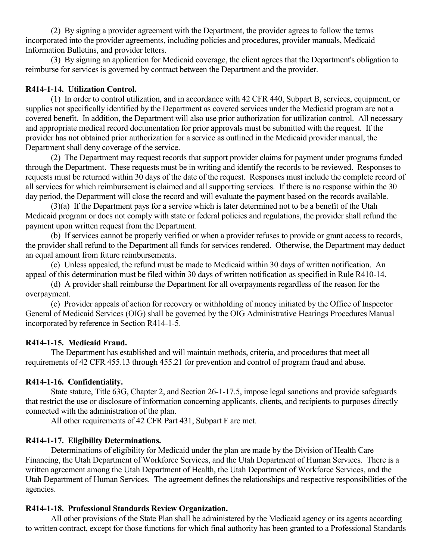(2) By signing a provider agreement with the Department, the provider agrees to follow the terms incorporated into the provider agreements, including policies and procedures, provider manuals, Medicaid Information Bulletins, and provider letters.

(3) By signing an application for Medicaid coverage, the client agrees that the Department's obligation to reimburse for services is governed by contract between the Department and the provider.

### **R414-1-14. Utilization Control.**

(1) In order to control utilization, and in accordance with 42 CFR 440, Subpart B, services, equipment, or supplies not specifically identified by the Department as covered services under the Medicaid program are not a covered benefit. In addition, the Department will also use prior authorization for utilization control. All necessary and appropriate medical record documentation for prior approvals must be submitted with the request. If the provider has not obtained prior authorization for a service as outlined in the Medicaid provider manual, the Department shall deny coverage of the service.

(2) The Department may request records that support provider claims for payment under programs funded through the Department. These requests must be in writing and identify the records to be reviewed. Responses to requests must be returned within 30 days of the date of the request. Responses must include the complete record of all services for which reimbursement is claimed and all supporting services. If there is no response within the 30 day period, the Department will close the record and will evaluate the payment based on the records available.

(3)(a) If the Department pays for a service which is later determined not to be a benefit of the Utah Medicaid program or does not comply with state or federal policies and regulations, the provider shall refund the payment upon written request from the Department.

(b) If services cannot be properly verified or when a provider refuses to provide or grant access to records, the provider shall refund to the Department all funds for services rendered. Otherwise, the Department may deduct an equal amount from future reimbursements.

(c) Unless appealed, the refund must be made to Medicaid within 30 days of written notification. An appeal of this determination must be filed within 30 days of written notification as specified in Rule R410-14.

(d) A provider shall reimburse the Department for all overpayments regardless of the reason for the overpayment.

(e) Provider appeals of action for recovery or withholding of money initiated by the Office of Inspector General of Medicaid Services (OIG) shall be governed by the OIG Administrative Hearings Procedures Manual incorporated by reference in Section R414-1-5.

### **R414-1-15. Medicaid Fraud.**

The Department has established and will maintain methods, criteria, and procedures that meet all requirements of 42 CFR 455.13 through 455.21 for prevention and control of program fraud and abuse.

## **R414-1-16. Confidentiality.**

State statute, Title 63G, Chapter 2, and Section 26-1-17.5, impose legal sanctions and provide safeguards that restrict the use or disclosure of information concerning applicants, clients, and recipients to purposes directly connected with the administration of the plan.

All other requirements of 42 CFR Part 431, Subpart F are met.

## **R414-1-17. Eligibility Determinations.**

Determinations of eligibility for Medicaid under the plan are made by the Division of Health Care Financing, the Utah Department of Workforce Services, and the Utah Department of Human Services. There is a written agreement among the Utah Department of Health, the Utah Department of Workforce Services, and the Utah Department of Human Services. The agreement defines the relationships and respective responsibilities of the agencies.

### **R414-1-18. Professional Standards Review Organization.**

All other provisions of the State Plan shall be administered by the Medicaid agency or its agents according to written contract, except for those functions for which final authority has been granted to a Professional Standards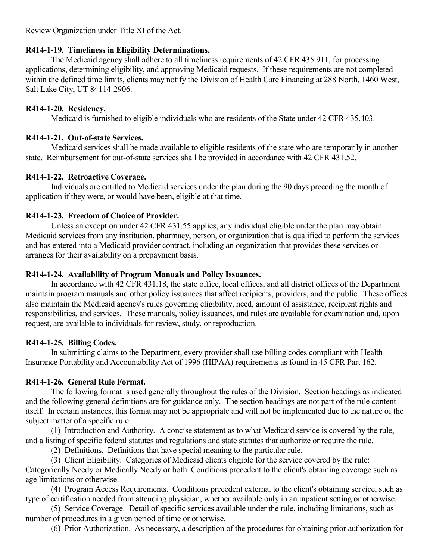Review Organization under Title XI of the Act.

### **R414-1-19. Timeliness in Eligibility Determinations.**

The Medicaid agency shall adhere to all timeliness requirements of 42 CFR 435.911, for processing applications, determining eligibility, and approving Medicaid requests. If these requirements are not completed within the defined time limits, clients may notify the Division of Health Care Financing at 288 North, 1460 West, Salt Lake City, UT 84114-2906.

### **R414-1-20. Residency.**

Medicaid is furnished to eligible individuals who are residents of the State under 42 CFR 435.403.

## **R414-1-21. Out-of-state Services.**

Medicaid services shall be made available to eligible residents of the state who are temporarily in another state. Reimbursement for out-of-state services shall be provided in accordance with 42 CFR 431.52.

## **R414-1-22. Retroactive Coverage.**

Individuals are entitled to Medicaid services under the plan during the 90 days preceding the month of application if they were, or would have been, eligible at that time.

## **R414-1-23. Freedom of Choice of Provider.**

Unless an exception under 42 CFR 431.55 applies, any individual eligible under the plan may obtain Medicaid services from any institution, pharmacy, person, or organization that is qualified to perform the services and has entered into a Medicaid provider contract, including an organization that provides these services or arranges for their availability on a prepayment basis.

## **R414-1-24. Availability of Program Manuals and Policy Issuances.**

In accordance with 42 CFR 431.18, the state office, local offices, and all district offices of the Department maintain program manuals and other policy issuances that affect recipients, providers, and the public. These offices also maintain the Medicaid agency's rules governing eligibility, need, amount of assistance, recipient rights and responsibilities, and services. These manuals, policy issuances, and rules are available for examination and, upon request, are available to individuals for review, study, or reproduction.

## **R414-1-25. Billing Codes.**

In submitting claims to the Department, every provider shall use billing codes compliant with Health Insurance Portability and Accountability Act of 1996 (HIPAA) requirements as found in 45 CFR Part 162.

## **R414-1-26. General Rule Format.**

The following format is used generally throughout the rules of the Division. Section headings as indicated and the following general definitions are for guidance only. The section headings are not part of the rule content itself. In certain instances, this format may not be appropriate and will not be implemented due to the nature of the subject matter of a specific rule.

(1) Introduction and Authority. A concise statement as to what Medicaid service is covered by the rule, and a listing of specific federal statutes and regulations and state statutes that authorize or require the rule.

(2) Definitions. Definitions that have special meaning to the particular rule.

(3) Client Eligibility. Categories of Medicaid clients eligible for the service covered by the rule: Categorically Needy or Medically Needy or both. Conditions precedent to the client's obtaining coverage such as age limitations or otherwise.

(4) Program Access Requirements. Conditions precedent external to the client's obtaining service, such as type of certification needed from attending physician, whether available only in an inpatient setting or otherwise.

(5) Service Coverage. Detail of specific services available under the rule, including limitations, such as number of procedures in a given period of time or otherwise.

(6) Prior Authorization. As necessary, a description of the procedures for obtaining prior authorization for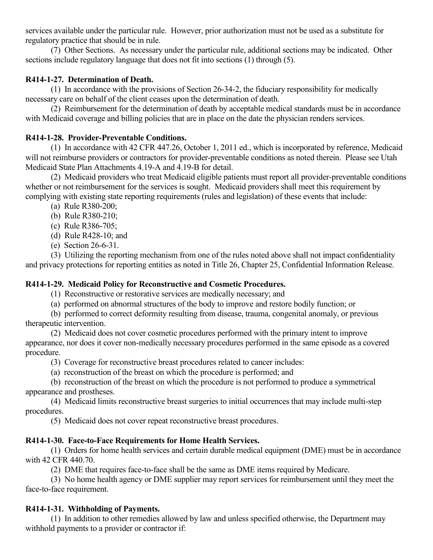services available under the particular rule. However, prior authorization must not be used as a substitute for regulatory practice that should be in rule.

(7) Other Sections. As necessary under the particular rule, additional sections may be indicated. Other sections include regulatory language that does not fit into sections (1) through (5).

## **R414-1-27. Determination of Death.**

(1) In accordance with the provisions of Section 26-34-2, the fiduciary responsibility for medically necessary care on behalf of the client ceases upon the determination of death.

(2) Reimbursement for the determination of death by acceptable medical standards must be in accordance with Medicaid coverage and billing policies that are in place on the date the physician renders services.

## **R414-1-28. Provider-Preventable Conditions.**

(1) In accordance with 42 CFR 447.26, October 1, 2011 ed., which is incorporated by reference, Medicaid will not reimburse providers or contractors for provider-preventable conditions as noted therein. Please see Utah Medicaid State Plan Attachments 4.19-A and 4.19-B for detail.

(2) Medicaid providers who treat Medicaid eligible patients must report all provider-preventable conditions whether or not reimbursement for the services is sought. Medicaid providers shall meet this requirement by complying with existing state reporting requirements (rules and legislation) of these events that include:

- (a) Rule R380-200;
- (b) Rule R380-210;
- (c) Rule R386-705;
- (d) Rule R428-10; and
- (e) Section 26-6-31.

(3) Utilizing the reporting mechanism from one of the rules noted above shall not impact confidentiality and privacy protections for reporting entities as noted in Title 26, Chapter 25, Confidential Information Release.

## **R414-1-29. Medicaid Policy for Reconstructive and Cosmetic Procedures.**

(1) Reconstructive or restorative services are medically necessary; and

(a) performed on abnormal structures of the body to improve and restore bodily function; or

(b) performed to correct deformity resulting from disease, trauma, congenital anomaly, or previous therapeutic intervention.

- (2) Medicaid does not cover cosmetic procedures performed with the primary intent to improve appearance, nor does it cover non-medically necessary procedures performed in the same episode as a covered procedure.
	- (3) Coverage for reconstructive breast procedures related to cancer includes:
	- (a) reconstruction of the breast on which the procedure is performed; and

(b) reconstruction of the breast on which the procedure is not performed to produce a symmetrical appearance and prostheses.

(4) Medicaid limits reconstructive breast surgeries to initial occurrences that may include multi-step procedures.

(5) Medicaid does not cover repeat reconstructive breast procedures.

## **R414-1-30. Face-to-Face Requirements for Home Health Services.**

(1) Orders for home health services and certain durable medical equipment (DME) must be in accordance with 42 CFR 440.70.

(2) DME that requires face-to-face shall be the same as DME items required by Medicare.

(3) No home health agency or DME supplier may report services for reimbursement until they meet the face-to-face requirement.

## **R414-1-31. Withholding of Payments.**

(1) In addition to other remedies allowed by law and unless specified otherwise, the Department may withhold payments to a provider or contractor if: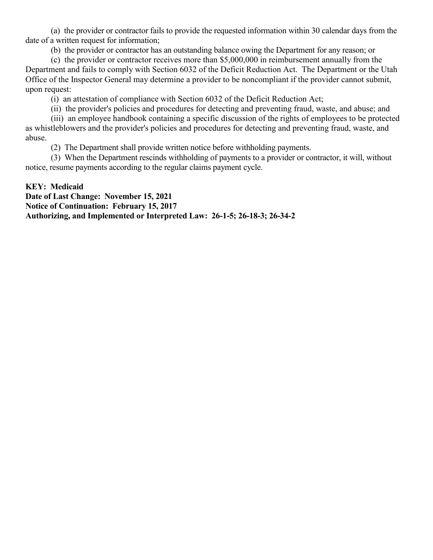(a) the provider or contractor fails to provide the requested information within 30 calendar days from the date of a written request for information;

(b) the provider or contractor has an outstanding balance owing the Department for any reason; or

(c) the provider or contractor receives more than \$5,000,000 in reimbursement annually from the Department and fails to comply with Section 6032 of the Deficit Reduction Act. The Department or the Utah Office of the Inspector General may determine a provider to be noncompliant if the provider cannot submit, upon request:

(i) an attestation of compliance with Section 6032 of the Deficit Reduction Act;

(ii) the provider's policies and procedures for detecting and preventing fraud, waste, and abuse; and

(iii) an employee handbook containing a specific discussion of the rights of employees to be protected as whistleblowers and the provider's policies and procedures for detecting and preventing fraud, waste, and abuse.

(2) The Department shall provide written notice before withholding payments.

(3) When the Department rescinds withholding of payments to a provider or contractor, it will, without notice, resume payments according to the regular claims payment cycle.

### **KEY: Medicaid**

**Date of Last Change: November 15, 2021 Notice of Continuation: February 15, 2017 Authorizing, and Implemented or Interpreted Law: 26-1-5; 26-18-3; 26-34-2**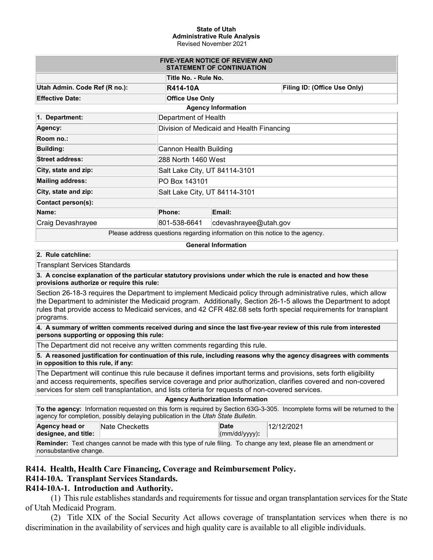#### **State of Utah Administrative Rule Analysis** Revised November 2021

| <b>FIVE-YEAR NOTICE OF REVIEW AND</b><br><b>STATEMENT OF CONTINUATION</b> |                               |                                           |                                                                                |                              |  |
|---------------------------------------------------------------------------|-------------------------------|-------------------------------------------|--------------------------------------------------------------------------------|------------------------------|--|
| Title No. - Rule No.                                                      |                               |                                           |                                                                                |                              |  |
| Utah Admin. Code Ref (R no.):                                             |                               | <b>R414-10A</b>                           |                                                                                | Filing ID: (Office Use Only) |  |
| <b>Effective Date:</b>                                                    |                               | <b>Office Use Only</b>                    |                                                                                |                              |  |
| <b>Agency Information</b>                                                 |                               |                                           |                                                                                |                              |  |
| 1. Department:                                                            |                               | Department of Health                      |                                                                                |                              |  |
| Agency:                                                                   |                               | Division of Medicaid and Health Financing |                                                                                |                              |  |
| Room no.:                                                                 |                               |                                           |                                                                                |                              |  |
| <b>Building:</b>                                                          |                               | Cannon Health Building                    |                                                                                |                              |  |
| <b>Street address:</b>                                                    |                               | 288 North 1460 West                       |                                                                                |                              |  |
| City, state and zip:                                                      |                               | Salt Lake City, UT 84114-3101             |                                                                                |                              |  |
| <b>Mailing address:</b>                                                   | PO Box 143101                 |                                           |                                                                                |                              |  |
| City, state and zip:                                                      | Salt Lake City, UT 84114-3101 |                                           |                                                                                |                              |  |
| Contact person(s):                                                        |                               |                                           |                                                                                |                              |  |
| Name:                                                                     |                               | Phone:                                    | Email:                                                                         |                              |  |
| Craig Devashrayee                                                         |                               | 801-538-6641                              | cdevashrayee@utah.gov                                                          |                              |  |
|                                                                           |                               |                                           | Dlease address questions regarding information on this paties to the equipment |                              |  |

Please address questions regarding information on this notice to the agency.

#### **General Information**

#### **2. Rule catchline:**

Transplant Services Standards

**3. A concise explanation of the particular statutory provisions under which the rule is enacted and how these provisions authorize or require this rule:**

Section 26-18-3 requires the Department to implement Medicaid policy through administrative rules, which allow the Department to administer the Medicaid program. Additionally, Section 26-1-5 allows the Department to adopt rules that provide access to Medicaid services, and 42 CFR 482.68 sets forth special requirements for transplant programs.

**4. A summary of written comments received during and since the last five-year review of this rule from interested persons supporting or opposing this rule:**

The Department did not receive any written comments regarding this rule.

**5. A reasoned justification for continuation of this rule, including reasons why the agency disagrees with comments in opposition to this rule, if any:**

The Department will continue this rule because it defines important terms and provisions, sets forth eligibility and access requirements, specifies service coverage and prior authorization, clarifies covered and non-covered services for stem cell transplantation, and lists criteria for requests of non-covered services.

| <b>Agency Authorization Information</b>                                                                                      |                                                                                  |                               |            |  |  |  |
|------------------------------------------------------------------------------------------------------------------------------|----------------------------------------------------------------------------------|-------------------------------|------------|--|--|--|
| To the agency: Information requested on this form is required by Section 63G-3-305. Incomplete forms will be returned to the |                                                                                  |                               |            |  |  |  |
|                                                                                                                              | agency for completion, possibly delaying publication in the Utah State Bulletin. |                               |            |  |  |  |
| Agency head or<br>designee, and title:                                                                                       | <b>Nate Checketts</b>                                                            | Date<br>$\vert$ (mm/dd/yyyy): | 12/12/2021 |  |  |  |
| _ _ .                                                                                                                        |                                                                                  |                               |            |  |  |  |

**Reminder:** Text changes cannot be made with this type of rule filing. To change any text, please file an amendment or nonsubstantive change.

### **R414. Health, Health Care Financing, Coverage and Reimbursement Policy.**

### **R414-10A. Transplant Services Standards.**

### **R414-10A-1. Introduction and Authority.**

(1) This rule establishes standards and requirements for tissue and organ transplantation services for the State of Utah Medicaid Program.

(2) Title XIX of the Social Security Act allows coverage of transplantation services when there is no discrimination in the availability of services and high quality care is available to all eligible individuals.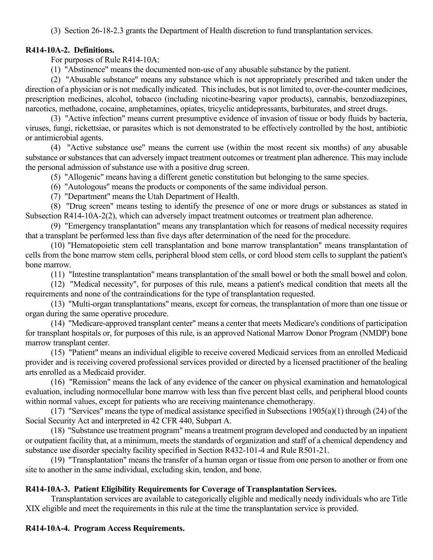(3) Section 26-18-2.3 grants the Department of Health discretion to fund transplantation services.

### **R414-10A-2. Definitions.**

For purposes of Rule R414-10A:

(1) "Abstinence" means the documented non-use of any abusable substance by the patient.

(2) "Abusable substance" means any substance which is not appropriately prescribed and taken under the direction of a physician or is not medically indicated. This includes, but is not limited to, over-the-counter medicines, prescription medicines, alcohol, tobacco (including nicotine-bearing vapor products), cannabis, benzodiazepines, narcotics, methadone, cocaine, amphetamines, opiates, tricyclic antidepressants, barbiturates, and street drugs.

(3) "Active infection" means current presumptive evidence of invasion of tissue or body fluids by bacteria, viruses, fungi, rickettsiae, or parasites which is not demonstrated to be effectively controlled by the host, antibiotic or antimicrobial agents.

(4) "Active substance use" means the current use (within the most recent six months) of any abusable substance or substances that can adversely impact treatment outcomes or treatment plan adherence. This may include the personal admission of substance use with a positive drug screen.

(5) "Allogenic" means having a different genetic constitution but belonging to the same species.

(6) "Autologous" means the products or components of the same individual person.

(7) "Department" means the Utah Department of Health.

(8) "Drug screen" means testing to identify the presence of one or more drugs or substances as stated in Subsection R414-10A-2(2), which can adversely impact treatment outcomes or treatment plan adherence.

(9) "Emergency transplantation" means any transplantation which for reasons of medical necessity requires that a transplant be performed less than five days after determination of the need for the procedure.

(10) "Hematopoietic stem cell transplantation and bone marrow transplantation" means transplantation of cells from the bone marrow stem cells, peripheral blood stem cells, or cord blood stem cells to supplant the patient's bone marrow.

(11) "Intestine transplantation" means transplantation of the small bowel or both the small bowel and colon.

(12) "Medical necessity", for purposes of this rule, means a patient's medical condition that meets all the requirements and none of the contraindications for the type of transplantation requested.

(13) "Multi-organ transplantations" means, except for corneas, the transplantation of more than one tissue or organ during the same operative procedure.

(14) "Medicare-approved transplant center" means a center that meets Medicare's conditions of participation for transplant hospitals or, for purposes of this rule, is an approved National Marrow Donor Program (NMDP) bone marrow transplant center.

(15) "Patient" means an individual eligible to receive covered Medicaid services from an enrolled Medicaid provider and is receiving covered professional services provided or directed by a licensed practitioner of the healing arts enrolled as a Medicaid provider.

(16) "Remission" means the lack of any evidence of the cancer on physical examination and hematological evaluation, including normocellular bone marrow with less than five percent blast cells, and peripheral blood counts within normal values, except for patients who are receiving maintenance chemotherapy.

(17) "Services" means the type of medical assistance specified in Subsections  $1905(a)(1)$  through (24) of the Social Security Act and interpreted in 42 CFR 440, Subpart A.

(18) "Substance use treatment program" means a treatment program developed and conducted by an inpatient or outpatient facility that, at a minimum, meets the standards of organization and staff of a chemical dependency and substance use disorder specialty facility specified in Section R432-101-4 and Rule R501-21.

(19) "Transplantation" means the transfer of a human organ or tissue from one person to another or from one site to another in the same individual, excluding skin, tendon, and bone.

## **R414-10A-3. Patient Eligibility Requirements for Coverage of Transplantation Services.**

Transplantation services are available to categorically eligible and medically needy individuals who are Title XIX eligible and meet the requirements in this rule at the time the transplantation service is provided.

## **R414-10A-4. Program Access Requirements.**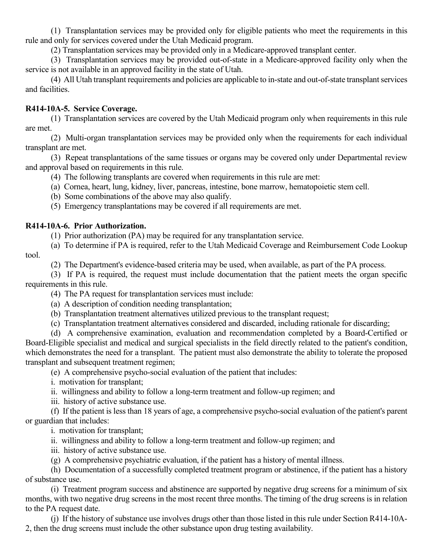(1) Transplantation services may be provided only for eligible patients who meet the requirements in this rule and only for services covered under the Utah Medicaid program.

(2) Transplantation services may be provided only in a Medicare-approved transplant center.

(3) Transplantation services may be provided out-of-state in a Medicare-approved facility only when the service is not available in an approved facility in the state of Utah.

(4) All Utah transplant requirements and policies are applicable to in-state and out-of-state transplant services and facilities.

## **R414-10A-5. Service Coverage.**

(1) Transplantation services are covered by the Utah Medicaid program only when requirements in this rule are met.

(2) Multi-organ transplantation services may be provided only when the requirements for each individual transplant are met.

(3) Repeat transplantations of the same tissues or organs may be covered only under Departmental review and approval based on requirements in this rule.

- (4) The following transplants are covered when requirements in this rule are met:
- (a) Cornea, heart, lung, kidney, liver, pancreas, intestine, bone marrow, hematopoietic stem cell.

(b) Some combinations of the above may also qualify.

(5) Emergency transplantations may be covered if all requirements are met.

## **R414-10A-6. Prior Authorization.**

(1) Prior authorization (PA) may be required for any transplantation service.

(a) To determine if PA is required, refer to the Utah Medicaid Coverage and Reimbursement Code Lookup tool.

(2) The Department's evidence-based criteria may be used, when available, as part of the PA process.

(3) If PA is required, the request must include documentation that the patient meets the organ specific requirements in this rule.

(4) The PA request for transplantation services must include:

- (a) A description of condition needing transplantation;
- (b) Transplantation treatment alternatives utilized previous to the transplant request;

(c) Transplantation treatment alternatives considered and discarded, including rationale for discarding;

(d) A comprehensive examination, evaluation and recommendation completed by a Board-Certified or Board-Eligible specialist and medical and surgical specialists in the field directly related to the patient's condition, which demonstrates the need for a transplant. The patient must also demonstrate the ability to tolerate the proposed transplant and subsequent treatment regimen;

(e) A comprehensive psycho-social evaluation of the patient that includes:

i. motivation for transplant;

ii. willingness and ability to follow a long-term treatment and follow-up regimen; and

iii. history of active substance use.

(f) If the patient is less than 18 years of age, a comprehensive psycho-social evaluation of the patient's parent or guardian that includes:

i. motivation for transplant;

ii. willingness and ability to follow a long-term treatment and follow-up regimen; and

iii. history of active substance use.

(g) A comprehensive psychiatric evaluation, if the patient has a history of mental illness.

(h) Documentation of a successfully completed treatment program or abstinence, if the patient has a history of substance use.

(i) Treatment program success and abstinence are supported by negative drug screens for a minimum of six months, with two negative drug screens in the most recent three months. The timing of the drug screens is in relation to the PA request date.

(j) If the history of substance use involves drugs other than those listed in this rule under Section R414-10A-2, then the drug screens must include the other substance upon drug testing availability.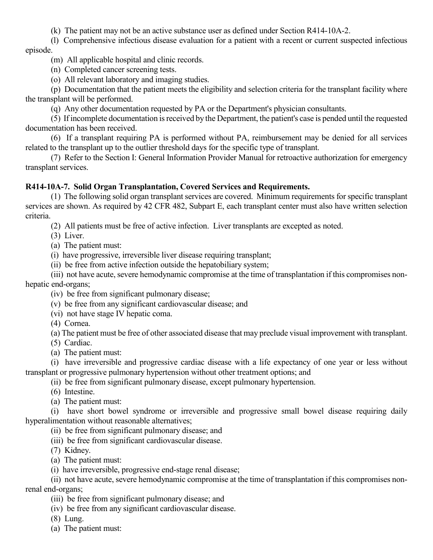(k) The patient may not be an active substance user as defined under Section R414-10A-2.

(l) Comprehensive infectious disease evaluation for a patient with a recent or current suspected infectious episode.

(m) All applicable hospital and clinic records.

(n) Completed cancer screening tests.

(o) All relevant laboratory and imaging studies.

(p) Documentation that the patient meets the eligibility and selection criteria for the transplant facility where the transplant will be performed.

(q) Any other documentation requested by PA or the Department's physician consultants.

(5) If incomplete documentation is received by the Department, the patient's case is pended until the requested documentation has been received.

(6) If a transplant requiring PA is performed without PA, reimbursement may be denied for all services related to the transplant up to the outlier threshold days for the specific type of transplant.

(7) Refer to the Section I: General Information Provider Manual for retroactive authorization for emergency transplant services.

### **R414-10A-7. Solid Organ Transplantation, Covered Services and Requirements.**

(1) The following solid organ transplant services are covered. Minimum requirements for specific transplant services are shown. As required by 42 CFR 482, Subpart E, each transplant center must also have written selection criteria.

(2) All patients must be free of active infection. Liver transplants are excepted as noted.

(3) Liver.

(a) The patient must:

(i) have progressive, irreversible liver disease requiring transplant;

(ii) be free from active infection outside the hepatobiliary system;

(iii) not have acute, severe hemodynamic compromise at the time of transplantation if this compromises nonhepatic end-organs;

(iv) be free from significant pulmonary disease;

(v) be free from any significant cardiovascular disease; and

(vi) not have stage IV hepatic coma.

(4) Cornea.

(a) The patient must be free of other associated disease that may preclude visual improvement with transplant.

(5) Cardiac.

(a) The patient must:

(i) have irreversible and progressive cardiac disease with a life expectancy of one year or less without transplant or progressive pulmonary hypertension without other treatment options; and

(ii) be free from significant pulmonary disease, except pulmonary hypertension.

(6) Intestine.

(a) The patient must:

(i) have short bowel syndrome or irreversible and progressive small bowel disease requiring daily hyperalimentation without reasonable alternatives;

(ii) be free from significant pulmonary disease; and

(iii) be free from significant cardiovascular disease.

(7) Kidney.

(a) The patient must:

(i) have irreversible, progressive end-stage renal disease;

(ii) not have acute, severe hemodynamic compromise at the time of transplantation if this compromises nonrenal end-organs;

(iii) be free from significant pulmonary disease; and

(iv) be free from any significant cardiovascular disease.

(8) Lung.

(a) The patient must: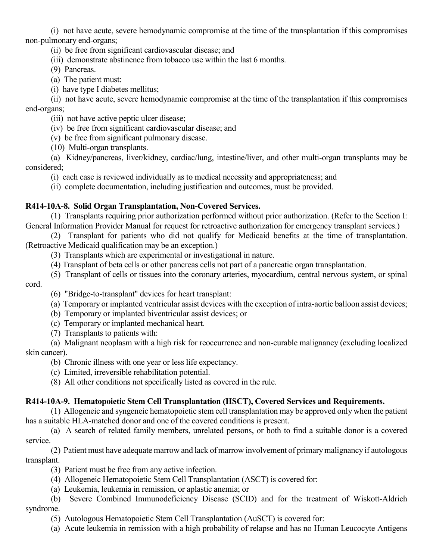(i) not have acute, severe hemodynamic compromise at the time of the transplantation if this compromises non-pulmonary end-organs;

(ii) be free from significant cardiovascular disease; and

- (iii) demonstrate abstinence from tobacco use within the last 6 months.
- (9) Pancreas.
- (a) The patient must:
- (i) have type I diabetes mellitus;

(ii) not have acute, severe hemodynamic compromise at the time of the transplantation if this compromises end-organs;

(iii) not have active peptic ulcer disease;

- (iv) be free from significant cardiovascular disease; and
- (v) be free from significant pulmonary disease.
- (10) Multi-organ transplants.

(a) Kidney/pancreas, liver/kidney, cardiac/lung, intestine/liver, and other multi-organ transplants may be considered;

(i) each case is reviewed individually as to medical necessity and appropriateness; and

(ii) complete documentation, including justification and outcomes, must be provided.

### **R414-10A-8. Solid Organ Transplantation, Non-Covered Services.**

(1) Transplants requiring prior authorization performed without prior authorization. (Refer to the Section I: General Information Provider Manual for request for retroactive authorization for emergency transplant services.)

(2) Transplant for patients who did not qualify for Medicaid benefits at the time of transplantation. (Retroactive Medicaid qualification may be an exception.)

- (3) Transplants which are experimental or investigational in nature.
- (4) Transplant of beta cells or other pancreas cells not part of a pancreatic organ transplantation.
- (5) Transplant of cells or tissues into the coronary arteries, myocardium, central nervous system, or spinal

cord.

- (6) "Bridge-to-transplant" devices for heart transplant:
- (a) Temporary or implanted ventricular assist devices with the exception of intra-aortic balloon assist devices;
- (b) Temporary or implanted biventricular assist devices; or
- (c) Temporary or implanted mechanical heart.
- (7) Transplants to patients with:

(a) Malignant neoplasm with a high risk for reoccurrence and non-curable malignancy (excluding localized skin cancer).

(b) Chronic illness with one year or less life expectancy.

(c) Limited, irreversible rehabilitation potential.

(8) All other conditions not specifically listed as covered in the rule.

### **R414-10A-9. Hematopoietic Stem Cell Transplantation (HSCT), Covered Services and Requirements.**

(1) Allogeneic and syngeneic hematopoietic stem cell transplantation may be approved only when the patient has a suitable HLA-matched donor and one of the covered conditions is present.

(a) A search of related family members, unrelated persons, or both to find a suitable donor is a covered service.

(2) Patient must have adequate marrow and lack of marrow involvement of primary malignancy if autologous transplant.

(3) Patient must be free from any active infection.

- (4) Allogeneic Hematopoietic Stem Cell Transplantation (ASCT) is covered for:
- (a) Leukemia, leukemia in remission, or aplastic anemia; or

(b) Severe Combined Immunodeficiency Disease (SCID) and for the treatment of Wiskott-Aldrich syndrome.

- (5) Autologous Hematopoietic Stem Cell Transplantation (AuSCT) is covered for:
- (a) Acute leukemia in remission with a high probability of relapse and has no Human Leucocyte Antigens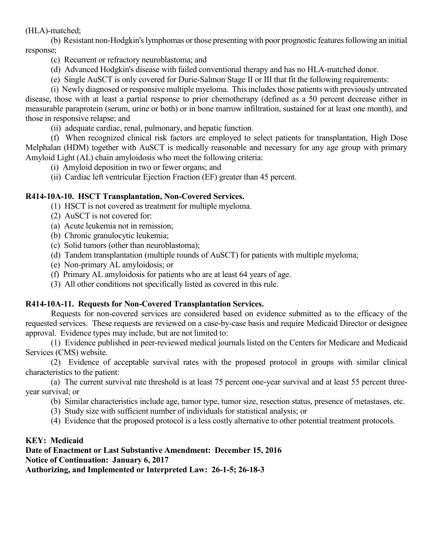### (HLA)-matched;

(b) Resistant non-Hodgkin's lymphomas or those presenting with poor prognostic features following an initial response;

- (c) Recurrent or refractory neuroblastoma; and
- (d) Advanced Hodgkin's disease with failed conventional therapy and has no HLA-matched donor.
- (e) Single AuSCT is only covered for Durie-Salmon Stage II or III that fit the following requirements:
- (i) Newly diagnosed or responsive multiple myeloma. This includes those patients with previously untreated

disease, those with at least a partial response to prior chemotherapy (defined as a 50 percent decrease either in measurable paraprotein (serum, urine or both) or in bone marrow infiltration, sustained for at least one month), and those in responsive relapse; and

(ii) adequate cardiac, renal, pulmonary, and hepatic function.

(f) When recognized clinical risk factors are employed to select patients for transplantation, High Dose Melphalan (HDM) together with AuSCT is medically reasonable and necessary for any age group with primary Amyloid Light (AL) chain amyloidosis who meet the following criteria:

(i) Amyloid deposition in two or fewer organs; and

(ii) Cardiac left ventricular Ejection Fraction (EF) greater than 45 percent.

## **R414-10A-10. HSCT Transplantation, Non-Covered Services.**

- (1) HSCT is not covered as treatment for multiple myeloma.
- (2) AuSCT is not covered for:
- (a) Acute leukemia not in remission;
- (b) Chronic granulocytic leukemia;
- (c) Solid tumors (other than neuroblastoma);
- (d) Tandem transplantation (multiple rounds of AuSCT) for patients with multiple myeloma;
- (e) Non-primary AL amyloidosis; or
- (f) Primary AL amyloidosis for patients who are at least 64 years of age.
- (3) All other conditions not specifically listed as covered in this rule.

## **R414-10A-11. Requests for Non-Covered Transplantation Services.**

Requests for non-covered services are considered based on evidence submitted as to the efficacy of the requested services. These requests are reviewed on a case-by-case basis and require Medicaid Director or designee approval. Evidence types may include, but are not limited to:

(1) Evidence published in peer-reviewed medical journals listed on the Centers for Medicare and Medicaid Services (CMS) website.

(2) Evidence of acceptable survival rates with the proposed protocol in groups with similar clinical characteristics to the patient:

(a) The current survival rate threshold is at least 75 percent one-year survival and at least 55 percent threeyear survival; or

- (b) Similar characteristics include age, tumor type, tumor size, resection status, presence of metastases, etc.
- (3) Study size with sufficient number of individuals for statistical analysis; or
- (4) Evidence that the proposed protocol is a less costly alternative to other potential treatment protocols.

### **KEY: Medicaid**

**Date of Enactment or Last Substantive Amendment: December 15, 2016 Notice of Continuation: January 6, 2017 Authorizing, and Implemented or Interpreted Law: 26-1-5; 26-18-3**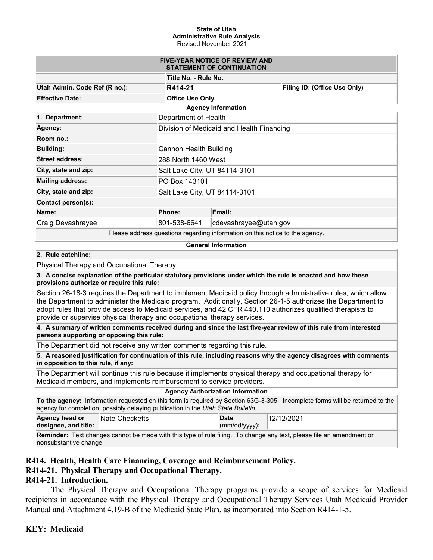#### **State of Utah Administrative Rule Analysis** Revised November 2021

| <b>FIVE-YEAR NOTICE OF REVIEW AND</b><br><b>STATEMENT OF CONTINUATION</b>   |                                           |                           |                              |  |  |  |
|-----------------------------------------------------------------------------|-------------------------------------------|---------------------------|------------------------------|--|--|--|
|                                                                             | Title No. - Rule No.                      |                           |                              |  |  |  |
| Utah Admin. Code Ref (R no.):                                               | R414-21                                   |                           | Filing ID: (Office Use Only) |  |  |  |
| <b>Effective Date:</b>                                                      | <b>Office Use Only</b>                    |                           |                              |  |  |  |
|                                                                             |                                           | <b>Agency Information</b> |                              |  |  |  |
| 1. Department:                                                              | Department of Health                      |                           |                              |  |  |  |
| Agency:                                                                     | Division of Medicaid and Health Financing |                           |                              |  |  |  |
| Room no.:                                                                   |                                           |                           |                              |  |  |  |
| <b>Building:</b>                                                            | Cannon Health Building                    |                           |                              |  |  |  |
| <b>Street address:</b>                                                      | 288 North 1460 West                       |                           |                              |  |  |  |
| City, state and zip:                                                        | Salt Lake City, UT 84114-3101             |                           |                              |  |  |  |
| <b>Mailing address:</b>                                                     | PO Box 143101                             |                           |                              |  |  |  |
| City, state and zip:                                                        | Salt Lake City, UT 84114-3101             |                           |                              |  |  |  |
| Contact person(s):                                                          |                                           |                           |                              |  |  |  |
| Name:                                                                       | <b>Phone:</b>                             | Email:                    |                              |  |  |  |
| Craig Devashrayee                                                           | 801-538-6641                              | cdevashrayee@utah.gov     |                              |  |  |  |
| Dlease address questions regarding information on this paties to the eggpay |                                           |                           |                              |  |  |  |

Please address questions regarding information on this notice to the agency.

#### **General Information**

#### **2. Rule catchline:**

Physical Therapy and Occupational Therapy

**3. A concise explanation of the particular statutory provisions under which the rule is enacted and how these provisions authorize or require this rule:**

Section 26-18-3 requires the Department to implement Medicaid policy through administrative rules, which allow the Department to administer the Medicaid program. Additionally, Section 26-1-5 authorizes the Department to adopt rules that provide access to Medicaid services, and 42 CFR 440.110 authorizes qualified therapists to provide or supervise physical therapy and occupational therapy services.

**4. A summary of written comments received during and since the last five-year review of this rule from interested persons supporting or opposing this rule:**

The Department did not receive any written comments regarding this rule.

**5. A reasoned justification for continuation of this rule, including reasons why the agency disagrees with comments in opposition to this rule, if any:**

The Department will continue this rule because it implements physical therapy and occupational therapy for Medicaid members, and implements reimbursement to service providers.

#### **Agency Authorization Information**

**To the agency:** Information requested on this form is required by Section 63G-3-305. Incomplete forms will be returned to the agency for completion, possibly delaying publication in the *Utah State Bulletin*.

12/12/2021

#### **Agency head or designee, and title: Nate Checketts Date** (mm/dd/yyyy)**:**

**Reminder:** Text changes cannot be made with this type of rule filing. To change any text, please file an amendment or nonsubstantive change.

### **R414. Health, Health Care Financing, Coverage and Reimbursement Policy.**

### **R414-21. Physical Therapy and Occupational Therapy.**

### **R414-21. Introduction.**

The Physical Therapy and Occupational Therapy programs provide a scope of services for Medicaid recipients in accordance with the Physical Therapy and Occupational Therapy Services Utah Medicaid Provider Manual and Attachment 4.19-B of the Medicaid State Plan, as incorporated into Section R414-1-5.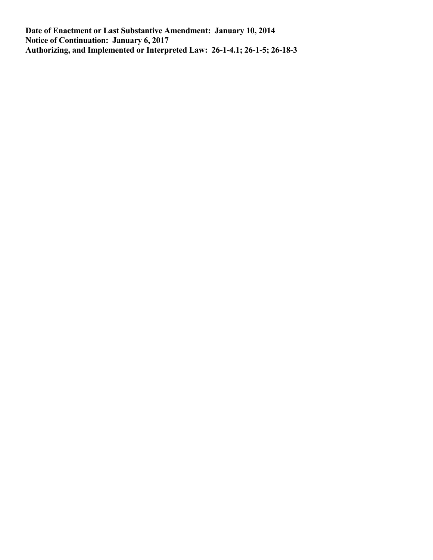**Date of Enactment or Last Substantive Amendment: January 10, 2014 Notice of Continuation: January 6, 2017 Authorizing, and Implemented or Interpreted Law: 26-1-4.1; 26-1-5; 26-18-3**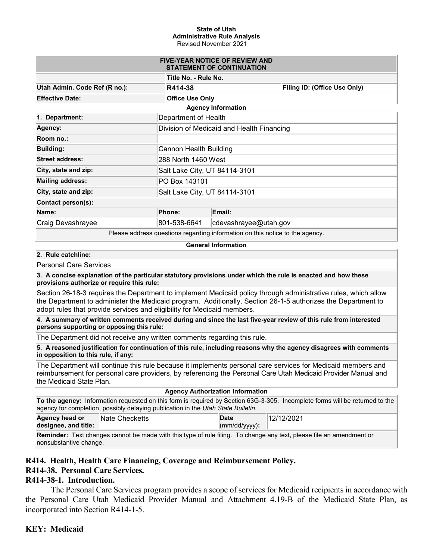#### **State of Utah Administrative Rule Analysis** Revised November 2021

| <b>FIVE-YEAR NOTICE OF REVIEW AND</b><br><b>STATEMENT OF CONTINUATION</b>         |                                           |                       |                              |  |  |  |
|-----------------------------------------------------------------------------------|-------------------------------------------|-----------------------|------------------------------|--|--|--|
| Title No. - Rule No.                                                              |                                           |                       |                              |  |  |  |
| Utah Admin. Code Ref (R no.):                                                     | R414-38                                   |                       | Filing ID: (Office Use Only) |  |  |  |
| <b>Effective Date:</b>                                                            | <b>Office Use Only</b>                    |                       |                              |  |  |  |
|                                                                                   | <b>Agency Information</b>                 |                       |                              |  |  |  |
| 1. Department:                                                                    | Department of Health                      |                       |                              |  |  |  |
| Agency:                                                                           | Division of Medicaid and Health Financing |                       |                              |  |  |  |
| Room no.:                                                                         |                                           |                       |                              |  |  |  |
| <b>Building:</b>                                                                  | Cannon Health Building                    |                       |                              |  |  |  |
| <b>Street address:</b>                                                            | 288 North 1460 West                       |                       |                              |  |  |  |
| City, state and zip:                                                              | Salt Lake City, UT 84114-3101             |                       |                              |  |  |  |
| <b>Mailing address:</b>                                                           | PO Box 143101                             |                       |                              |  |  |  |
| City, state and zip:                                                              | Salt Lake City, UT 84114-3101             |                       |                              |  |  |  |
| Contact person(s):                                                                |                                           |                       |                              |  |  |  |
| Name:                                                                             | Phone:                                    | Email:                |                              |  |  |  |
| Craig Devashrayee                                                                 | 801-538-6641                              | cdevashrayee@utah.gov |                              |  |  |  |
| Dissas salduses purentiana personaling information on this patien to the sense of |                                           |                       |                              |  |  |  |

Please address questions regarding information on this notice to the agency.

#### **General Information**

#### **2. Rule catchline:**

Personal Care Services

**3. A concise explanation of the particular statutory provisions under which the rule is enacted and how these provisions authorize or require this rule:**

Section 26-18-3 requires the Department to implement Medicaid policy through administrative rules, which allow the Department to administer the Medicaid program. Additionally, Section 26-1-5 authorizes the Department to adopt rules that provide services and eligibility for Medicaid members.

**4. A summary of written comments received during and since the last five-year review of this rule from interested persons supporting or opposing this rule:**

The Department did not receive any written comments regarding this rule.

**5. A reasoned justification for continuation of this rule, including reasons why the agency disagrees with comments in opposition to this rule, if any:**

The Department will continue this rule because it implements personal care services for Medicaid members and reimbursement for personal care providers, by referencing the Personal Care Utah Medicaid Provider Manual and the Medicaid State Plan.

#### **Agency Authorization Information**

| To the agency: Information requested on this form is required by Section 63G-3-305. Incomplete forms will be returned to the |  |
|------------------------------------------------------------------------------------------------------------------------------|--|
| agency for completion, possibly delaying publication in the Utah State Bulletin.                                             |  |

| Agency head or       | <b>Nate Checketts</b> | Date                  | 12/12/2021 |
|----------------------|-----------------------|-----------------------|------------|
| designee, and title: |                       | $\vert$ (mm/dd/yyyy): |            |

**Reminder:** Text changes cannot be made with this type of rule filing. To change any text, please file an amendment or nonsubstantive change.

### **R414. Health, Health Care Financing, Coverage and Reimbursement Policy.**

### **R414-38. Personal Care Services.**

### **R414-38-1. Introduction.**

The Personal Care Services program provides a scope of services for Medicaid recipients in accordance with the Personal Care Utah Medicaid Provider Manual and Attachment 4.19-B of the Medicaid State Plan, as incorporated into Section R414-1-5.